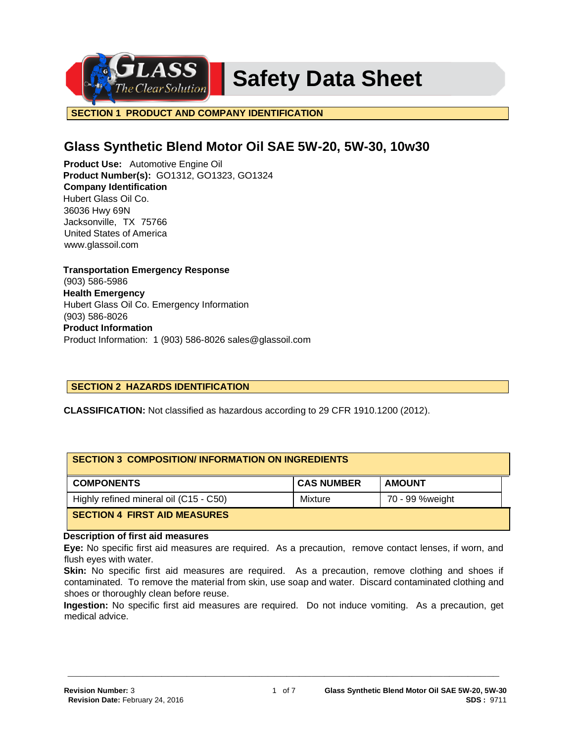**Safety Data Sheet** 

**SECTION 1 PRODUCT AND COMPANY IDENTIFICATION**

# **Glass Synthetic Blend Motor Oil SAE 5W-20, 5W-30, 10w30**

**Product Use:** Automotive Engine Oil **Product Number(s):** GO1312, GO1323, GO1324 **Company Identification** Hubert Glass Oil Co. 36036 Hwy 69N Jacksonville, TX 75766 United States of America www.glassoil.com

**Transportation Emergency Response** (903) 586-5986 **Health Emergency** Hubert Glass Oil Co. Emergency Information (903) 586-8026 **Product Information**  Product Information: 1 (903) 586-8026 sales@glassoil.com

# **SECTION 2 HAZARDS IDENTIFICATION**

**CLASSIFICATION:** Not classified as hazardous according to 29 CFR 1910.1200 (2012).

| <b>SECTION 3 COMPOSITION/INFORMATION ON INGREDIENTS</b> |                   |                 |  |
|---------------------------------------------------------|-------------------|-----------------|--|
| <b>COMPONENTS</b>                                       | <b>CAS NUMBER</b> | <b>AMOUNT</b>   |  |
| Highly refined mineral oil (C15 - C50)                  | Mixture           | 70 - 99 %weight |  |
| <b>SECTION 4 FIRST AID MEASURES</b>                     |                   |                 |  |

## **Description of first aid measures**

**Eye:** No specific first aid measures are required. As a precaution, remove contact lenses, if worn, and flush eyes with water.

**Skin:** No specific first aid measures are required. As a precaution, remove clothing and shoes if contaminated. To remove the material from skin, use soap and water. Discard contaminated clothing and shoes or thoroughly clean before reuse.

**Ingestion:** No specific first aid measures are required. Do not induce vomiting. As a precaution, get medical advice.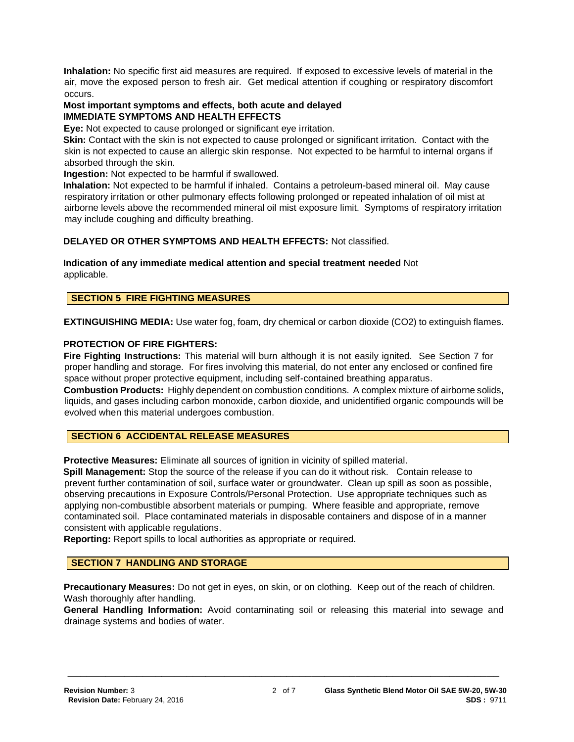**Inhalation:** No specific first aid measures are required. If exposed to excessive levels of material in the air, move the exposed person to fresh air. Get medical attention if coughing or respiratory discomfort occurs.

## **Most important symptoms and effects, both acute and delayed IMMEDIATE SYMPTOMS AND HEALTH EFFECTS**

**Eye:** Not expected to cause prolonged or significant eye irritation.

**Skin:** Contact with the skin is not expected to cause prolonged or significant irritation. Contact with the skin is not expected to cause an allergic skin response. Not expected to be harmful to internal organs if absorbed through the skin.

**Ingestion:** Not expected to be harmful if swallowed.

**Inhalation:** Not expected to be harmful if inhaled. Contains a petroleum-based mineral oil. May cause respiratory irritation or other pulmonary effects following prolonged or repeated inhalation of oil mist at airborne levels above the recommended mineral oil mist exposure limit. Symptoms of respiratory irritation may include coughing and difficulty breathing.

## **DELAYED OR OTHER SYMPTOMS AND HEALTH EFFECTS:** Not classified.

**Indication of any immediate medical attention and special treatment needed** Not applicable.

## **SECTION 5 FIRE FIGHTING MEASURES**

**EXTINGUISHING MEDIA:** Use water fog, foam, dry chemical or carbon dioxide (CO2) to extinguish flames.

## **PROTECTION OF FIRE FIGHTERS:**

**Fire Fighting Instructions:** This material will burn although it is not easily ignited. See Section 7 for proper handling and storage. For fires involving this material, do not enter any enclosed or confined fire space without proper protective equipment, including self-contained breathing apparatus.

**Combustion Products:** Highly dependent on combustion conditions. A complex mixture of airborne solids, liquids, and gases including carbon monoxide, carbon dioxide, and unidentified organic compounds will be evolved when this material undergoes combustion.

## **SECTION 6 ACCIDENTAL RELEASE MEASURES**

**Protective Measures:** Eliminate all sources of ignition in vicinity of spilled material.

**Spill Management:** Stop the source of the release if you can do it without risk. Contain release to prevent further contamination of soil, surface water or groundwater. Clean up spill as soon as possible, observing precautions in Exposure Controls/Personal Protection. Use appropriate techniques such as applying non-combustible absorbent materials or pumping. Where feasible and appropriate, remove contaminated soil. Place contaminated materials in disposable containers and dispose of in a manner consistent with applicable regulations.

**Reporting:** Report spills to local authorities as appropriate or required.

# **SECTION 7 HANDLING AND STORAGE**

**Precautionary Measures:** Do not get in eyes, on skin, or on clothing. Keep out of the reach of children. Wash thoroughly after handling.

**General Handling Information:** Avoid contaminating soil or releasing this material into sewage and drainage systems and bodies of water.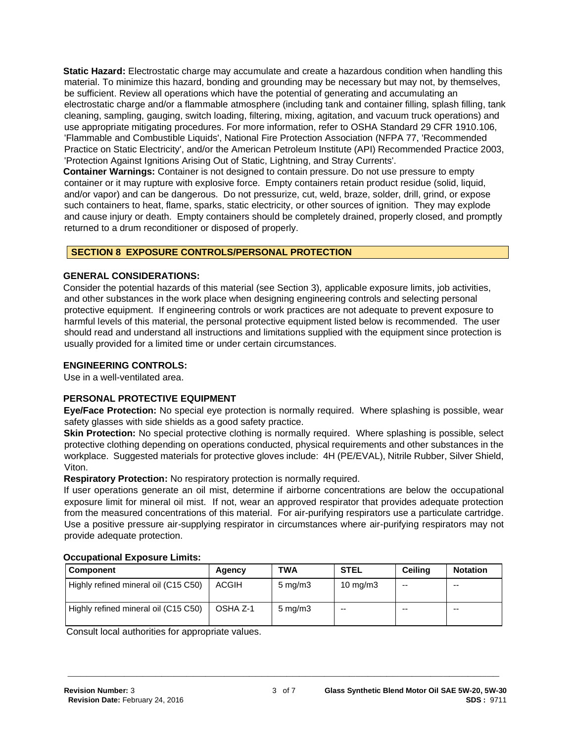**Static Hazard:** Electrostatic charge may accumulate and create a hazardous condition when handling this material. To minimize this hazard, bonding and grounding may be necessary but may not, by themselves, be sufficient. Review all operations which have the potential of generating and accumulating an electrostatic charge and/or a flammable atmosphere (including tank and container filling, splash filling, tank cleaning, sampling, gauging, switch loading, filtering, mixing, agitation, and vacuum truck operations) and use appropriate mitigating procedures. For more information, refer to OSHA Standard 29 CFR 1910.106, 'Flammable and Combustible Liquids', National Fire Protection Association (NFPA 77, 'Recommended Practice on Static Electricity', and/or the American Petroleum Institute (API) Recommended Practice 2003, 'Protection Against Ignitions Arising Out of Static, Lightning, and Stray Currents'.

**Container Warnings:** Container is not designed to contain pressure. Do not use pressure to empty container or it may rupture with explosive force. Empty containers retain product residue (solid, liquid, and/or vapor) and can be dangerous. Do not pressurize, cut, weld, braze, solder, drill, grind, or expose such containers to heat, flame, sparks, static electricity, or other sources of ignition. They may explode and cause injury or death. Empty containers should be completely drained, properly closed, and promptly returned to a drum reconditioner or disposed of properly.

# **SECTION 8 EXPOSURE CONTROLS/PERSONAL PROTECTION**

## **GENERAL CONSIDERATIONS:**

Consider the potential hazards of this material (see Section 3), applicable exposure limits, job activities, and other substances in the work place when designing engineering controls and selecting personal protective equipment. If engineering controls or work practices are not adequate to prevent exposure to harmful levels of this material, the personal protective equipment listed below is recommended. The user should read and understand all instructions and limitations supplied with the equipment since protection is usually provided for a limited time or under certain circumstances.

## **ENGINEERING CONTROLS:**

Use in a well-ventilated area.

## **PERSONAL PROTECTIVE EQUIPMENT**

**Eye/Face Protection:** No special eye protection is normally required. Where splashing is possible, wear safety glasses with side shields as a good safety practice.

**Skin Protection:** No special protective clothing is normally required. Where splashing is possible, select protective clothing depending on operations conducted, physical requirements and other substances in the workplace. Suggested materials for protective gloves include: 4H (PE/EVAL), Nitrile Rubber, Silver Shield, Viton.

**Respiratory Protection:** No respiratory protection is normally required.

If user operations generate an oil mist, determine if airborne concentrations are below the occupational exposure limit for mineral oil mist. If not, wear an approved respirator that provides adequate protection from the measured concentrations of this material. For air-purifying respirators use a particulate cartridge. Use a positive pressure air-supplying respirator in circumstances where air-purifying respirators may not provide adequate protection.

## **Occupational Exposure Limits:**

| <b>Component</b>                     | Agency       | TWA                | <b>STEL</b>       | <b>Ceiling</b> | <b>Notation</b> |
|--------------------------------------|--------------|--------------------|-------------------|----------------|-----------------|
| Highly refined mineral oil (C15 C50) | <b>ACGIH</b> | $5 \text{ mg/m}$ 3 | $10 \text{ mg/m}$ | $-$            | $-$             |
| Highly refined mineral oil (C15 C50) | OSHA Z-1     | $5 \text{ mg/m}$   | $-$               | $- -$          | $- -$           |

**\_\_\_\_\_\_\_\_\_\_\_\_\_\_\_\_\_\_\_\_\_\_\_\_\_\_\_\_\_\_\_\_\_\_\_\_\_\_\_\_\_\_\_\_\_\_\_\_\_\_\_\_\_\_\_\_\_\_\_\_\_\_\_\_\_\_\_\_\_**

Consult local authorities for appropriate values.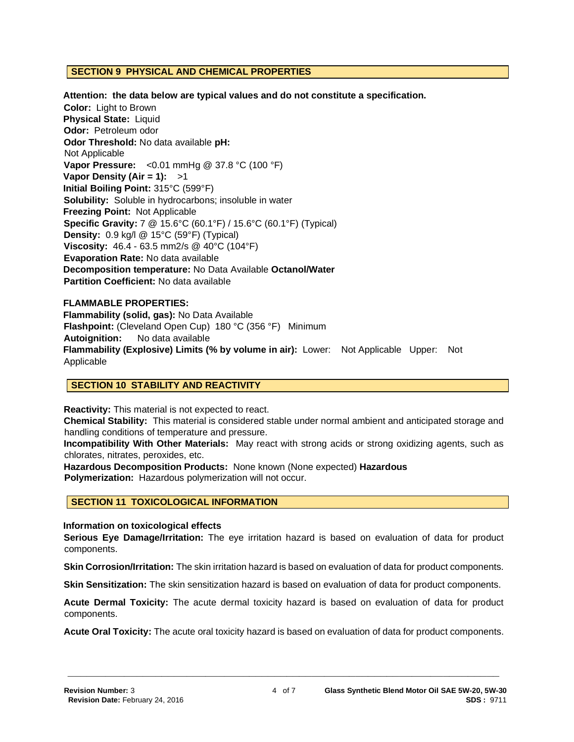## **SECTION 9 PHYSICAL AND CHEMICAL PROPERTIES**

#### **Attention: the data below are typical values and do not constitute a specification.**

**Color:** Light to Brown **Physical State:** Liquid **Odor:** Petroleum odor **Odor Threshold:** No data available **pH:**  Not Applicable **Vapor Pressure:** <0.01 mmHg @ 37.8 °C (100 °F) **Vapor Density (Air = 1):** >1 **Initial Boiling Point:** 315°C (599°F) **Solubility:** Soluble in hydrocarbons; insoluble in water **Freezing Point:** Not Applicable **Specific Gravity:** 7 @ 15.6°C (60.1°F) / 15.6°C (60.1°F) (Typical) **Density:** 0.9 kg/l @ 15°C (59°F) (Typical) **Viscosity:** 46.4 - 63.5 mm2/s @ 40°C (104°F) **Evaporation Rate:** No data available **Decomposition temperature:** No Data Available **Octanol/Water Partition Coefficient:** No data available

#### **FLAMMABLE PROPERTIES:**

**Flammability (solid, gas):** No Data Available **Flashpoint:** (Cleveland Open Cup) 180 °C (356 °F) Minimum **Autoignition:** No data available **Flammability (Explosive) Limits (% by volume in air):** Lower: Not Applicable Upper: Not Applicable

## **SECTION 10 STABILITY AND REACTIVITY**

**Reactivity:** This material is not expected to react.

**Chemical Stability:** This material is considered stable under normal ambient and anticipated storage and handling conditions of temperature and pressure.

**Incompatibility With Other Materials:** May react with strong acids or strong oxidizing agents, such as chlorates, nitrates, peroxides, etc.

**Hazardous Decomposition Products:** None known (None expected) **Hazardous Polymerization:** Hazardous polymerization will not occur.

## **SECTION 11 TOXICOLOGICAL INFORMATION**

#### **Information on toxicological effects**

**Serious Eye Damage/Irritation:** The eye irritation hazard is based on evaluation of data for product components.

**Skin Corrosion/Irritation:** The skin irritation hazard is based on evaluation of data for product components.

**Skin Sensitization:** The skin sensitization hazard is based on evaluation of data for product components.

**Acute Dermal Toxicity:** The acute dermal toxicity hazard is based on evaluation of data for product components.

**Acute Oral Toxicity:** The acute oral toxicity hazard is based on evaluation of data for product components.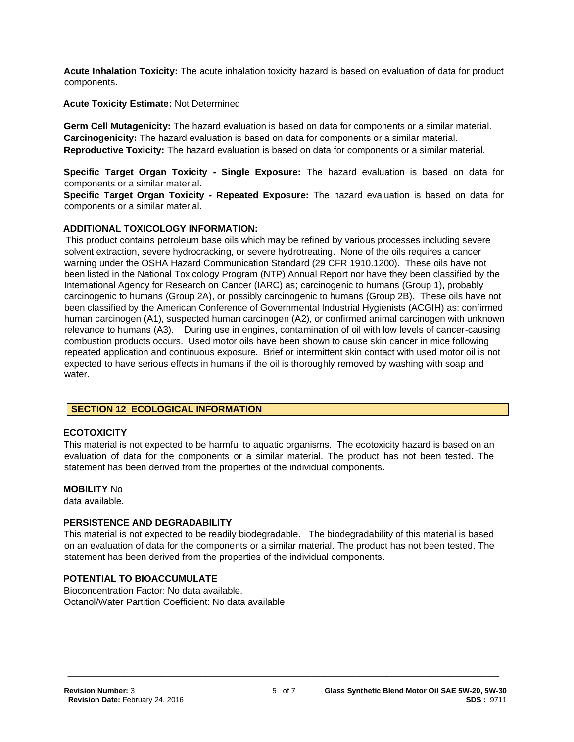**Acute Inhalation Toxicity:** The acute inhalation toxicity hazard is based on evaluation of data for product components.

**Acute Toxicity Estimate:** Not Determined

**Germ Cell Mutagenicity:** The hazard evaluation is based on data for components or a similar material. **Carcinogenicity:** The hazard evaluation is based on data for components or a similar material. **Reproductive Toxicity:** The hazard evaluation is based on data for components or a similar material.

**Specific Target Organ Toxicity - Single Exposure:** The hazard evaluation is based on data for components or a similar material.

**Specific Target Organ Toxicity - Repeated Exposure:** The hazard evaluation is based on data for components or a similar material.

## **ADDITIONAL TOXICOLOGY INFORMATION:**

This product contains petroleum base oils which may be refined by various processes including severe solvent extraction, severe hydrocracking, or severe hydrotreating. None of the oils requires a cancer warning under the OSHA Hazard Communication Standard (29 CFR 1910.1200). These oils have not been listed in the National Toxicology Program (NTP) Annual Report nor have they been classified by the International Agency for Research on Cancer (IARC) as; carcinogenic to humans (Group 1), probably carcinogenic to humans (Group 2A), or possibly carcinogenic to humans (Group 2B). These oils have not been classified by the American Conference of Governmental Industrial Hygienists (ACGIH) as: confirmed human carcinogen (A1), suspected human carcinogen (A2), or confirmed animal carcinogen with unknown relevance to humans (A3). During use in engines, contamination of oil with low levels of cancer-causing combustion products occurs. Used motor oils have been shown to cause skin cancer in mice following repeated application and continuous exposure. Brief or intermittent skin contact with used motor oil is not expected to have serious effects in humans if the oil is thoroughly removed by washing with soap and water.

## **SECTION 12 ECOLOGICAL INFORMATION**

## **ECOTOXICITY**

This material is not expected to be harmful to aquatic organisms. The ecotoxicity hazard is based on an evaluation of data for the components or a similar material. The product has not been tested. The statement has been derived from the properties of the individual components.

## **MOBILITY** No

data available.

## **PERSISTENCE AND DEGRADABILITY**

This material is not expected to be readily biodegradable. The biodegradability of this material is based on an evaluation of data for the components or a similar material. The product has not been tested. The statement has been derived from the properties of the individual components.

**\_\_\_\_\_\_\_\_\_\_\_\_\_\_\_\_\_\_\_\_\_\_\_\_\_\_\_\_\_\_\_\_\_\_\_\_\_\_\_\_\_\_\_\_\_\_\_\_\_\_\_\_\_\_\_\_\_\_\_\_\_\_\_\_\_\_\_\_\_**

## **POTENTIAL TO BIOACCUMULATE**

Bioconcentration Factor: No data available. Octanol/Water Partition Coefficient: No data available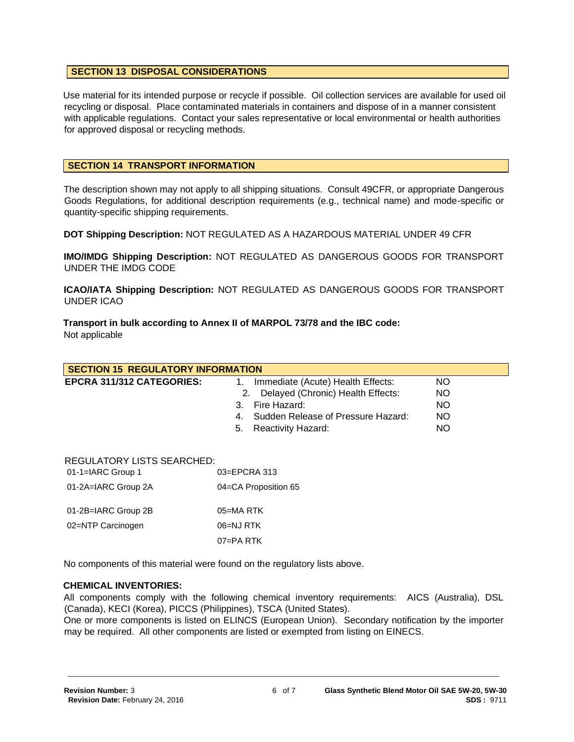## **SECTION 13 DISPOSAL CONSIDERATIONS**

Use material for its intended purpose or recycle if possible. Oil collection services are available for used oil recycling or disposal. Place contaminated materials in containers and dispose of in a manner consistent with applicable regulations. Contact your sales representative or local environmental or health authorities for approved disposal or recycling methods.

## **SECTION 14 TRANSPORT INFORMATION**

The description shown may not apply to all shipping situations. Consult 49CFR, or appropriate Dangerous Goods Regulations, for additional description requirements (e.g., technical name) and mode-specific or quantity-specific shipping requirements.

**DOT Shipping Description:** NOT REGULATED AS A HAZARDOUS MATERIAL UNDER 49 CFR

**IMO/IMDG Shipping Description:** NOT REGULATED AS DANGEROUS GOODS FOR TRANSPORT UNDER THE IMDG CODE

**ICAO/IATA Shipping Description:** NOT REGULATED AS DANGEROUS GOODS FOR TRANSPORT UNDER ICAO

**Transport in bulk according to Annex II of MARPOL 73/78 and the IBC code:** Not applicable

| <b>SECTION 15 REGULATORY INFORMATION</b>               |                                                                                                                                                                                         |                                     |  |  |
|--------------------------------------------------------|-----------------------------------------------------------------------------------------------------------------------------------------------------------------------------------------|-------------------------------------|--|--|
| <b>EPCRA 311/312 CATEGORIES:</b>                       | Immediate (Acute) Health Effects:<br>1.<br>Delayed (Chronic) Health Effects:<br>2.<br>Fire Hazard:<br>3.<br>Sudden Release of Pressure Hazard:<br>4.<br>5.<br><b>Reactivity Hazard:</b> | NO.<br>NO<br>NO.<br><b>NO</b><br>NO |  |  |
| <b>REGULATORY LISTS SEARCHED:</b><br>01-1=IARC Group 1 | $03 = EPCRA$ 313                                                                                                                                                                        |                                     |  |  |
| 01-2A=IARC Group 2A                                    | 04=CA Proposition 65                                                                                                                                                                    |                                     |  |  |
| 01-2B=IARC Group 2B                                    | $05 = MA$ RTK                                                                                                                                                                           |                                     |  |  |
| 02=NTP Carcinogen                                      | 06=NJ RTK                                                                                                                                                                               |                                     |  |  |
|                                                        | $07 = PA$ RTK                                                                                                                                                                           |                                     |  |  |

No components of this material were found on the regulatory lists above.

## **CHEMICAL INVENTORIES:**

All components comply with the following chemical inventory requirements: AICS (Australia), DSL (Canada), KECI (Korea), PICCS (Philippines), TSCA (United States).

One or more components is listed on ELINCS (European Union). Secondary notification by the importer may be required. All other components are listed or exempted from listing on EINECS.